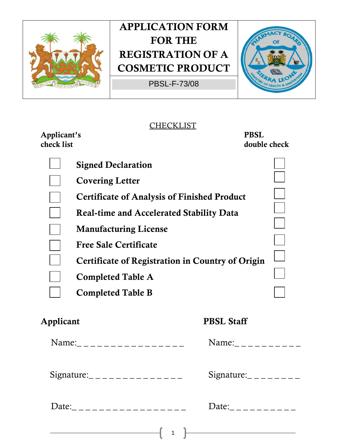

PBSL-F-73/08



#### **CHECKLIST**

**Applicant's PBSL** 

double check

| <b>Signed Declaration</b>                               |  |
|---------------------------------------------------------|--|
| <b>Covering Letter</b>                                  |  |
| <b>Certificate of Analysis of Finished Product</b>      |  |
| <b>Real-time and Accelerated Stability Data</b>         |  |
| <b>Manufacturing License</b>                            |  |
| <b>Free Sale Certificate</b>                            |  |
| <b>Certificate of Registration in Country of Origin</b> |  |
| <b>Completed Table A</b>                                |  |
| <b>Completed Table B</b>                                |  |
|                                                         |  |

### **Applicant PBSL Staff**

|                                                                                                                                                                                                                                                                                                                  | Name:                                                                                          |
|------------------------------------------------------------------------------------------------------------------------------------------------------------------------------------------------------------------------------------------------------------------------------------------------------------------|------------------------------------------------------------------------------------------------|
| Signature: $\frac{1}{2}$ $\frac{1}{2}$ $\frac{1}{2}$ $\frac{1}{2}$ $\frac{1}{2}$ $\frac{1}{2}$ $\frac{1}{2}$ $\frac{1}{2}$ $\frac{1}{2}$ $\frac{1}{2}$ $\frac{1}{2}$ $\frac{1}{2}$ $\frac{1}{2}$ $\frac{1}{2}$ $\frac{1}{2}$ $\frac{1}{2}$ $\frac{1}{2}$ $\frac{1}{2}$ $\frac{1}{2}$ $\frac{1}{2}$ $\frac{1}{2}$ | Signature: $\frac{1}{2}$ $\frac{1}{2}$ $\frac{1}{2}$ $\frac{1}{2}$ $\frac{1}{2}$ $\frac{1}{2}$ |
| Date:____________________                                                                                                                                                                                                                                                                                        | Date:___________                                                                               |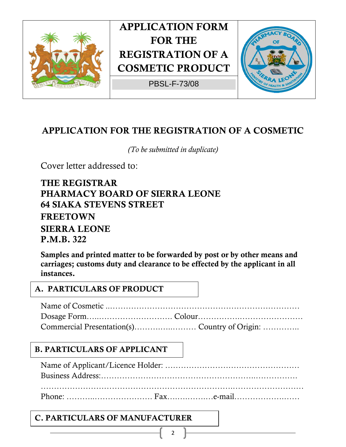

PBSL-F-73/08



### **APPLICATION FOR THE REGISTRATION OF A COSMETIC**

*(To be submitted in duplicate)* 

Cover letter addressed to:

**THE REGISTRAR PHARMACY BOARD OF SIERRA LEONE 64 SIAKA STEVENS STREET FREETOWN SIERRA LEONE P.M.B. 322** 

**Samples and printed matter to be forwarded by post or by other means and carriages; customs duty and clearance to be effected by the applicant in all instances.** 

#### **A. PARTICULARS OF PRODUCT**

Name of Cosmetic ..……………………………………………………………… Dosage Form…..………………………. Colour…………….…………………… Commercial Presentation(s)……….…..……… Country of Origin: …………..

### **B. PARTICULARS OF APPLICANT**

Name of Applicant/Licence Holder: …………………………………………… Business Address:…………………………………………………..…………….

Phone: ………..…………………. Fax….….…….…e-mail……………….……

2

#### **C. PARTICULARS OF MANUFACTURER**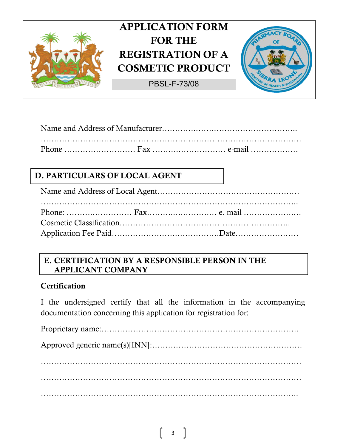

PBSL-F-73/08



#### Name and Address of Manufacturer………….…….………………………….. ……………………………………………………………………………………… Phone ……………………… Fax ……….……………… e-mail ………………

### **D. PARTICULARS OF LOCAL AGENT**

Name and Address of Local Agent……………………………………………… …………………………………………………………………………………….. Phone: ……….…………… Fax……….….……….… e. mail ……………….… Cosmetic Classification……………………………………………………….. Application Fee Paid…………………….…………….Date……………………

#### **E. CERTIFICATION BY A RESPONSIBLE PERSON IN THE APPLICANT COMPANY**

#### **Certification**

I the undersigned certify that all the information in the accompanying documentation concerning this application for registration for:

Proprietary name:………………………………………………………………… Approved generic name(s)[INN]:………………………………………………… ……………………………………………………………………………………… ……………………………………………………………………………………… ……………………………………………………………………………………..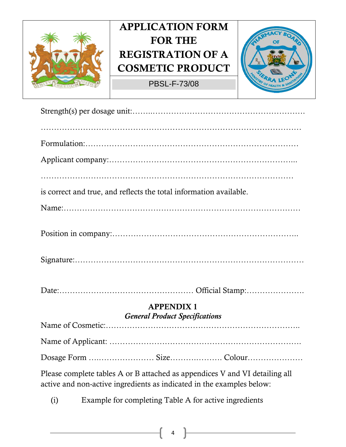

PBSL-F-73/08



| is correct and true, and reflects the total information available.                                                                                   |
|------------------------------------------------------------------------------------------------------------------------------------------------------|
|                                                                                                                                                      |
|                                                                                                                                                      |
|                                                                                                                                                      |
|                                                                                                                                                      |
| <b>APPENDIX1</b><br><b>General Product Specifications</b>                                                                                            |
|                                                                                                                                                      |
|                                                                                                                                                      |
|                                                                                                                                                      |
| Please complete tables A or B attached as appendices V and VI detailing all<br>active and non-active ingredients as indicated in the examples below: |
| Example for completing Table A for active ingredients<br>(i)                                                                                         |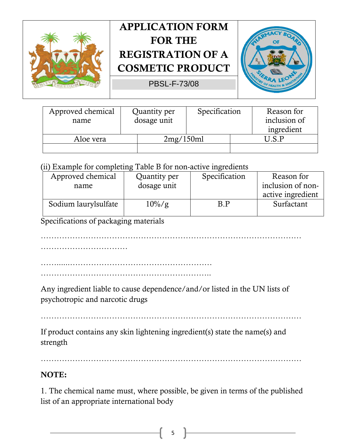



| Approved chemical<br>name |           | Quantity per<br>dosage unit | Specification | Reason for<br>inclusion of<br>ingredient |
|---------------------------|-----------|-----------------------------|---------------|------------------------------------------|
| Aloe vera                 | 2mg/150ml |                             |               | ICP                                      |
|                           |           |                             |               |                                          |

#### (ii) Example for completing Table B for non-active ingredients

| Approved chemical    | Quantity per | Specification | Reason for        |
|----------------------|--------------|---------------|-------------------|
| name                 | dosage unit  |               | inclusion of non- |
|                      |              |               | active ingredient |
| Sodium laurylsulfate | $10\%/g$     | B.P           | Surfactant        |
|                      |              |               |                   |

Specifications of packaging materials

………………………………………………………………………………………

……………………………

……......……………………………………………… ………………………………………………………..

Any ingredient liable to cause dependence/and/or listed in the UN lists of psychotropic and narcotic drugs

………………………………………………………………………………………

If product contains any skin lightening ingredient(s) state the name(s) and strength

………………………………………………………………………………………

#### **NOTE:**

1. The chemical name must, where possible, be given in terms of the published list of an appropriate international body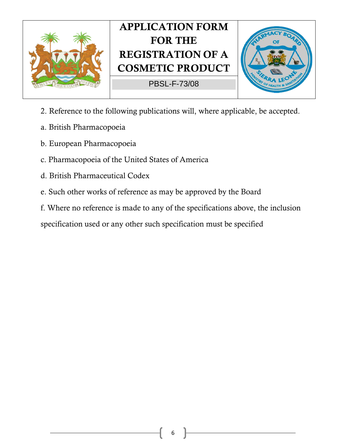

PBSL-F-73/08



- 2. Reference to the following publications will, where applicable, be accepted.
- a. British Pharmacopoeia
- b. European Pharmacopoeia
- c. Pharmacopoeia of the United States of America
- d. British Pharmaceutical Codex
- e. Such other works of reference as may be approved by the Board
- f. Where no reference is made to any of the specifications above, the inclusion

specification used or any other such specification must be specified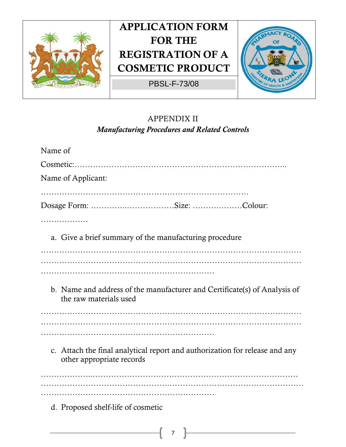

PBSL-F-73/08



### APPENDIX II *Manufacturing Procedures and Related Controls*

| Name of                                                                                                  |
|----------------------------------------------------------------------------------------------------------|
|                                                                                                          |
| Name of Applicant:                                                                                       |
|                                                                                                          |
| Dosage Form: Size: Colour:                                                                               |
| .                                                                                                        |
| a. Give a brief summary of the manufacturing procedure                                                   |
|                                                                                                          |
|                                                                                                          |
| b. Name and address of the manufacturer and Certificate(s) of Analysis of<br>the raw materials used      |
|                                                                                                          |
|                                                                                                          |
| c. Attach the final analytical report and authorization for release and any<br>other appropriate records |
|                                                                                                          |
| d. Proposed shelf-life of cosmetic                                                                       |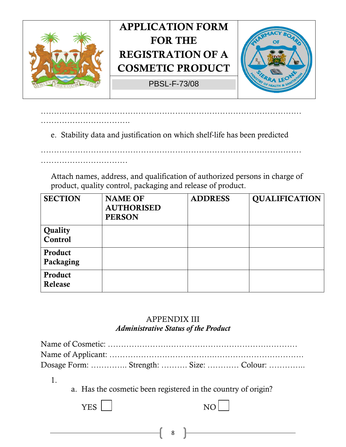

……………………………………………………………………………………… …………………………….

e. Stability data and justification on which shelf-life has been predicted

………………………………………………………………………………………

Attach names, address, and qualification of authorized persons in charge of product, quality control, packaging and release of product.

| <b>SECTION</b>       | <b>NAME OF</b><br><b>AUTHORISED</b><br><b>PERSON</b> | <b>ADDRESS</b> | <b>QUALIFICATION</b> |
|----------------------|------------------------------------------------------|----------------|----------------------|
| Quality<br>Control   |                                                      |                |                      |
| Product<br>Packaging |                                                      |                |                      |
| Product<br>Release   |                                                      |                |                      |

#### APPENDIX III *Administrative Status of the Product*

| Dosage Form:  Strength:  Size:  Colour: |  |  |
|-----------------------------------------|--|--|

1.

a. Has the cosmetic been registered in the country of origin?

8

YES NO

……………………………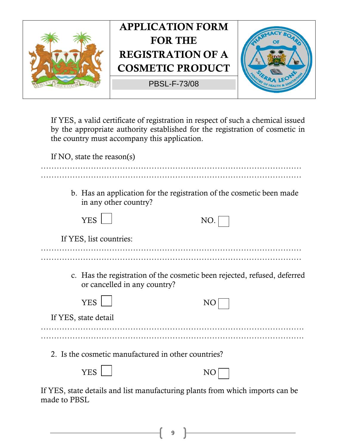

If YES, a valid certificate of registration in respect of such a chemical issued by the appropriate authority established for the registration of cosmetic in the country must accompany this application.

| If NO, state the reason(s)                          |                                                                               |
|-----------------------------------------------------|-------------------------------------------------------------------------------|
| in any other country?                               | b. Has an application for the registration of the cosmetic been made          |
| <b>YES</b>                                          | NO.                                                                           |
| If YES, list countries:                             |                                                                               |
|                                                     |                                                                               |
| or cancelled in any country?                        | c. Has the registration of the cosmetic been rejected, refused, deferred      |
| <b>YES</b>                                          | NO                                                                            |
| If YES, state detail                                |                                                                               |
|                                                     |                                                                               |
| 2. Is the cosmetic manufactured in other countries? |                                                                               |
| <b>YES</b>                                          | NO                                                                            |
| made to PBSL                                        | If YES, state details and list manufacturing plants from which imports can be |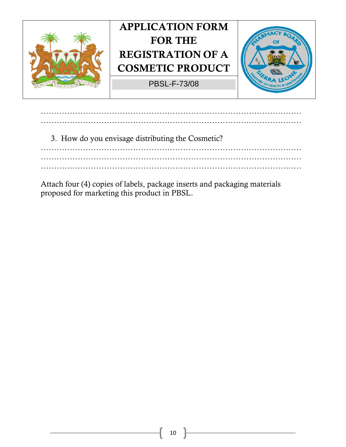

……………………………………………………………………………………… ……………………………………………………………………………………… 3. How do you envisage distributing the Cosmetic? ……………………………………………………………………………………… ………………………………………………………………………………………

Attach four (4) copies of labels, package inserts and packaging materials proposed for marketing this product in PBSL.

………………………………………………………………………………………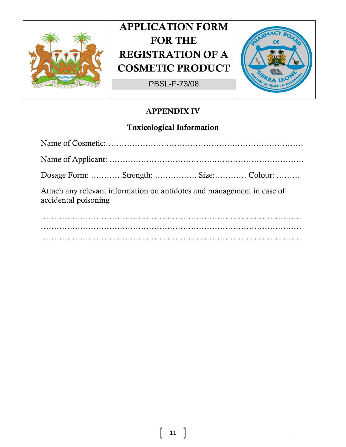

PBSL-F-73/08



### **APPENDIX IV**

### **Toxicological Information**

| Attach any relevant information on antidotes and management in case of<br>accidental poisoning |
|------------------------------------------------------------------------------------------------|
|                                                                                                |
|                                                                                                |
|                                                                                                |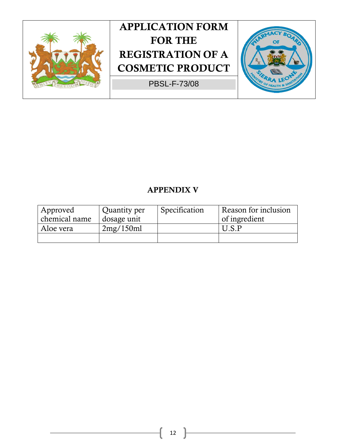

PBSL-F-73/08



### **APPENDIX V**

| Approved      | Quantity per | Specification | Reason for inclusion |
|---------------|--------------|---------------|----------------------|
| chemical name | dosage unit  |               | of ingredient        |
| Aloe vera     | 2mg/150ml    |               | II S P               |
|               |              |               |                      |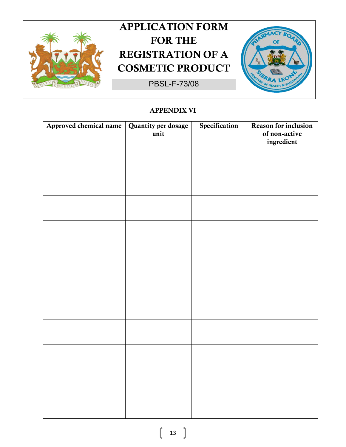

PBSL-F-73/08



#### **APPENDIX VI**

| Approved chemical name | Quantity per dosage | Specification | Reason for inclusion        |
|------------------------|---------------------|---------------|-----------------------------|
|                        | unit                |               | of non-active<br>ingredient |
|                        |                     |               |                             |
|                        |                     |               |                             |
|                        |                     |               |                             |
|                        |                     |               |                             |
|                        |                     |               |                             |
|                        |                     |               |                             |
|                        |                     |               |                             |
|                        |                     |               |                             |
|                        |                     |               |                             |
|                        |                     |               |                             |
|                        |                     |               |                             |
|                        |                     |               |                             |
|                        |                     |               |                             |
|                        |                     |               |                             |
|                        |                     |               |                             |
|                        |                     |               |                             |
|                        |                     |               |                             |
|                        |                     |               |                             |
|                        |                     |               |                             |
|                        |                     |               |                             |
|                        |                     |               |                             |
|                        |                     |               |                             |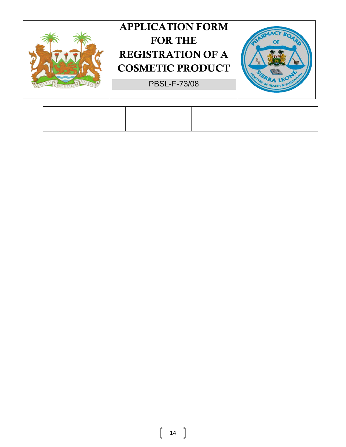